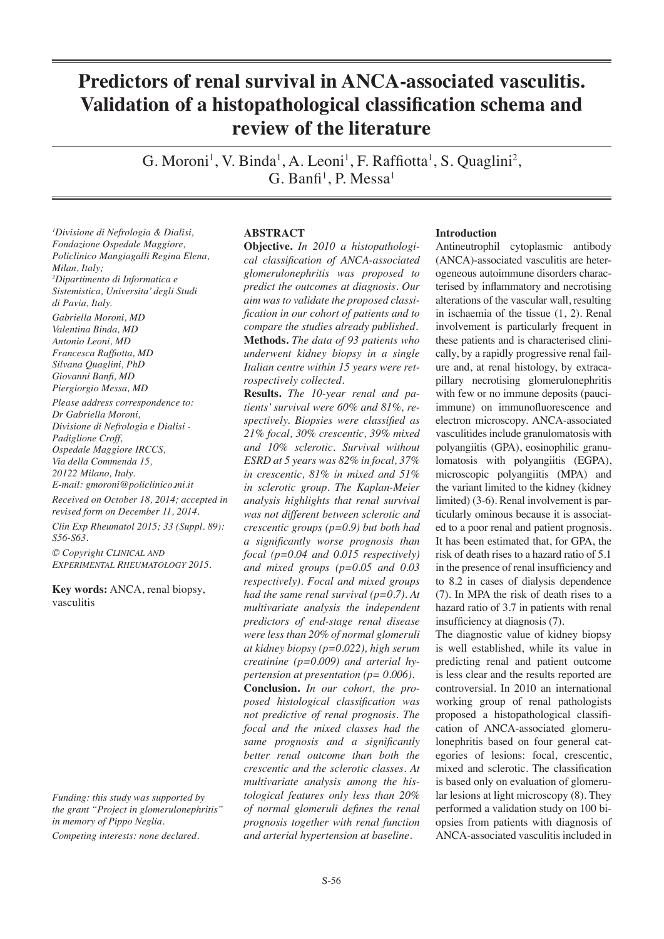# **Predictors of renal survival in ANCA-associated vasculitis. Validation of a histopathological classification schema and review of the literature**

G. Moroni<sup>1</sup>, V. Binda<sup>1</sup>, A. Leoni<sup>1</sup>, F. Raffiotta<sup>1</sup>, S. Quaglini<sup>2</sup>,  $G.$  Banfi<sup>1</sup>, P. Messa<sup>1</sup>

*1 Divisione di Nefrologia & Dialisi, Fondazione Ospedale Maggiore, Policlinico Mangiagalli Regina Elena, Milan, Italy; 2 Dipartimento di Informatica e Sistemistica, Universita' degli Studi di Pavia, Italy.*

*Gabriella Moroni, MD Valentina Binda, MD Antonio Leoni, MD Francesca Raffiotta, MD Silvana Quaglini, PhD Giovanni Banfi, MD Piergiorgio Messa, MD*

*Please address correspondence to: Dr Gabriella Moroni, Divisione di Nefrologia e Dialisi - Padiglione Croff, Ospedale Maggiore IRCCS, Via della Commenda 15, 20122 Milano, Italy. E-mail: gmoroni@policlinico.mi.it*

*Received on October 18, 2014; accepted in revised form on December 11, 2014. Clin Exp Rheumatol 2015; 33 (Suppl. 89): S56-S63.*

*© Copyright Clinical and Experimental Rheumatology 2015.*

**Key words:** ANCA, renal biopsy, vasculitis

*Funding: this study was supported by the grant "Project in glomerulonephritis" in memory of Pippo Neglia.*

*Competing interests: none declared.*

# **ABSTRACT**

**Objective.** *In 2010 a histopathological classification of ANCA-associated glomerulonephritis was proposed to predict the outcomes at diagnosis. Our aim was to validate the proposed classification in our cohort of patients and to compare the studies already published.* **Methods.** *The data of 93 patients who underwent kidney biopsy in a single Italian centre within 15 years were retrospectively collected.*

**Results.** *The 10-year renal and patients' survival were 60% and 81%, respectively. Biopsies were classified as 21% focal, 30% crescentic, 39% mixed and 10% sclerotic. Survival without ESRD at 5 years was 82% in focal, 37% in crescentic, 81% in mixed and 51% in sclerotic group. The Kaplan-Meier analysis highlights that renal survival was not different between sclerotic and crescentic groups (p=0.9) but both had a significantly worse prognosis than focal (p=0.04 and 0.015 respectively) and mixed groups (p=0.05 and 0.03 respectively). Focal and mixed groups had the same renal survival (p=0.7). At multivariate analysis the independent predictors of end-stage renal disease were less than 20% of normal glomeruli at kidney biopsy (p=0.022), high serum creatinine (p=0.009) and arterial hypertension at presentation (p= 0.006).*  **Conclusion.** *In our cohort, the proposed histological classification was not predictive of renal prognosis. The focal and the mixed classes had the same prognosis and a significantly better renal outcome than both the crescentic and the sclerotic classes. At multivariate analysis among the histological features only less than 20% of normal glomeruli defines the renal prognosis together with renal function and arterial hypertension at baseline.*

# **Introduction**

Antineutrophil cytoplasmic antibody (ANCA)-associated vasculitis are heterogeneous autoimmune disorders characterised by inflammatory and necrotising alterations of the vascular wall, resulting in ischaemia of the tissue (1, 2). Renal involvement is particularly frequent in these patients and is characterised clinically, by a rapidly progressive renal failure and, at renal histology, by extracapillary necrotising glomerulonephritis with few or no immune deposits (pauciimmune) on immunofluorescence and electron microscopy. ANCA-associated vasculitides include granulomatosis with polyangiitis (GPA), eosinophilic granulomatosis with polyangiitis (EGPA), microscopic polyangiitis (MPA) and the variant limited to the kidney (kidney limited) (3-6). Renal involvement is particularly ominous because it is associated to a poor renal and patient prognosis. It has been estimated that, for GPA, the risk of death rises to a hazard ratio of 5.1 in the presence of renal insufficiency and to 8.2 in cases of dialysis dependence (7). In MPA the risk of death rises to a hazard ratio of 3.7 in patients with renal insufficiency at diagnosis (7).

The diagnostic value of kidney biopsy is well established, while its value in predicting renal and patient outcome is less clear and the results reported are controversial. In 2010 an international working group of renal pathologists proposed a histopathological classification of ANCA-associated glomerulonephritis based on four general categories of lesions: focal, crescentic, mixed and sclerotic. The classification is based only on evaluation of glomerular lesions at light microscopy (8). They performed a validation study on 100 biopsies from patients with diagnosis of ANCA-associated vasculitis included in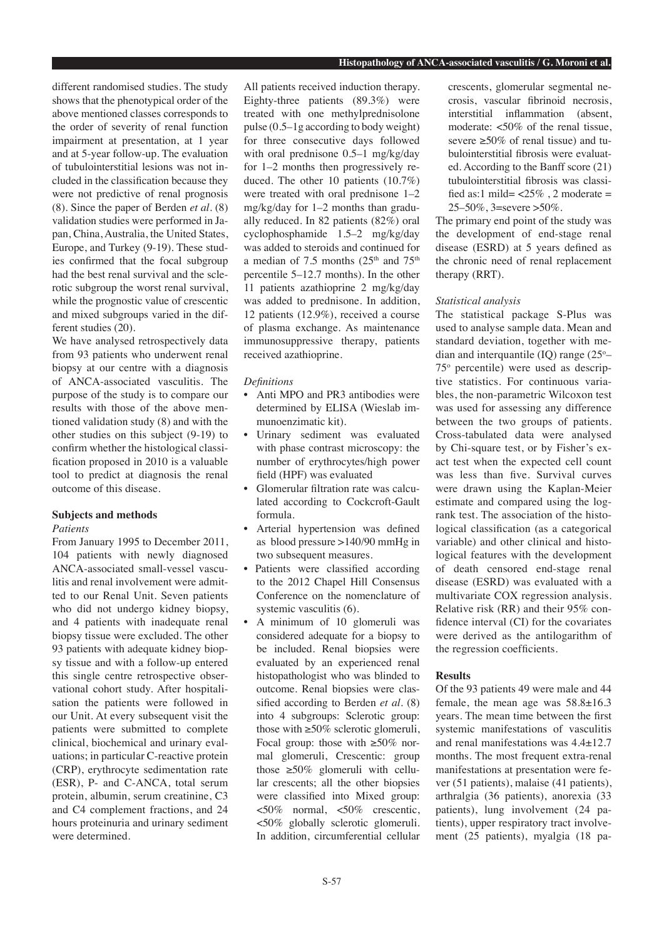different randomised studies. The study shows that the phenotypical order of the above mentioned classes corresponds to the order of severity of renal function impairment at presentation, at 1 year and at 5-year follow-up. The evaluation of tubulointerstitial lesions was not included in the classification because they were not predictive of renal prognosis (8). Since the paper of Berden *et al.* (8) validation studies were performed in Japan, China, Australia, the United States, Europe, and Turkey (9-19). These studies confirmed that the focal subgroup had the best renal survival and the sclerotic subgroup the worst renal survival, while the prognostic value of crescentic and mixed subgroups varied in the different studies (20).

We have analysed retrospectively data from 93 patients who underwent renal biopsy at our centre with a diagnosis of ANCA-associated vasculitis. The purpose of the study is to compare our results with those of the above mentioned validation study (8) and with the other studies on this subject (9-19) to confirm whether the histological classification proposed in 2010 is a valuable tool to predict at diagnosis the renal outcome of this disease.

# **Subjects and methods**

## *Patients*

From January 1995 to December 2011, 104 patients with newly diagnosed ANCA-associated small-vessel vasculitis and renal involvement were admitted to our Renal Unit. Seven patients who did not undergo kidney biopsy, and 4 patients with inadequate renal biopsy tissue were excluded. The other 93 patients with adequate kidney biopsy tissue and with a follow-up entered this single centre retrospective observational cohort study. After hospitalisation the patients were followed in our Unit. At every subsequent visit the patients were submitted to complete clinical, biochemical and urinary evaluations; in particular C-reactive protein (CRP), erythrocyte sedimentation rate (ESR), P- and C-ANCA, total serum protein, albumin, serum creatinine, C3 and C4 complement fractions, and 24 hours proteinuria and urinary sediment were determined.

All patients received induction therapy. Eighty-three patients (89.3%) were treated with one methylprednisolone pulse (0.5–1g according to body weight) for three consecutive days followed with oral prednisone 0.5–1 mg/kg/day for 1–2 months then progressively reduced. The other 10 patients (10.7%) were treated with oral prednisone 1–2 mg/kg/day for 1–2 months than gradually reduced. In 82 patients (82%) oral cyclophosphamide 1.5–2 mg/kg/day was added to steroids and continued for a median of 7.5 months  $(25<sup>th</sup>$  and  $75<sup>th</sup>$ percentile 5–12.7 months). In the other 11 patients azathioprine 2 mg/kg/day was added to prednisone. In addition, 12 patients (12.9%), received a course of plasma exchange. As maintenance immunosuppressive therapy, patients received azathioprine.

#### *Definitions*

- Anti MPO and PR3 antibodies were determined by ELISA (Wieslab immunoenzimatic kit).
- Urinary sediment was evaluated with phase contrast microscopy: the number of erythrocytes/high power field (HPF) was evaluated
- Glomerular filtration rate was calculated according to Cockcroft-Gault formula.
- Arterial hypertension was defined as blood pressure >140/90 mmHg in two subsequent measures.
- Patients were classified according to the 2012 Chapel Hill Consensus Conference on the nomenclature of systemic vasculitis  $(6)$ .
- A minimum of 10 glomeruli was considered adequate for a biopsy to be included. Renal biopsies were evaluated by an experienced renal histopathologist who was blinded to outcome. Renal biopsies were classified according to Berden *et al.* (8) into 4 subgroups: Sclerotic group: those with  $\geq 50\%$  sclerotic glomeruli, Focal group: those with  $\geq 50\%$  normal glomeruli, Crescentic: group those  $\geq 50\%$  glomeruli with cellular crescents; all the other biopsies were classified into Mixed group: <50% normal, <50% crescentic, <50% globally sclerotic glomeruli. In addition, circumferential cellular

crescents, glomerular segmental necrosis, vascular fibrinoid necrosis, interstitial inflammation (absent, moderate: <50% of the renal tissue, severe  $\geq 50\%$  of renal tissue) and tubulointerstitial fibrosis were evaluated. According to the Banff score (21) tubulointerstitial fibrosis was classified as:1 mild=  $\langle 25\% \rangle$ . 2 moderate = 25–50%, 3=severe >50%.

The primary end point of the study was the development of end-stage renal disease (ESRD) at 5 years defined as the chronic need of renal replacement therapy (RRT).

# *Statistical analysis*

The statistical package S-Plus was used to analyse sample data. Mean and standard deviation, together with median and interquantile  $(IQ)$  range  $(25^{\circ}$ -75o percentile) were used as descriptive statistics. For continuous variables, the non-parametric Wilcoxon test was used for assessing any difference between the two groups of patients. Cross-tabulated data were analysed by Chi-square test, or by Fisher's exact test when the expected cell count was less than five. Survival curves were drawn using the Kaplan-Meier estimate and compared using the logrank test. The association of the histological classification (as a categorical variable) and other clinical and histological features with the development of death censored end-stage renal disease (ESRD) was evaluated with a multivariate COX regression analysis. Relative risk (RR) and their 95% confidence interval (CI) for the covariates were derived as the antilogarithm of the regression coefficients.

## **Results**

Of the 93 patients 49 were male and 44 female, the mean age was  $58.8 \pm 16.3$ years. The mean time between the first systemic manifestations of vasculitis and renal manifestations was 4.4±12.7 months. The most frequent extra-renal manifestations at presentation were fever (51 patients), malaise (41 patients), arthralgia (36 patients), anorexia (33 patients), lung involvement (24 patients), upper respiratory tract involvement (25 patients), myalgia (18 pa-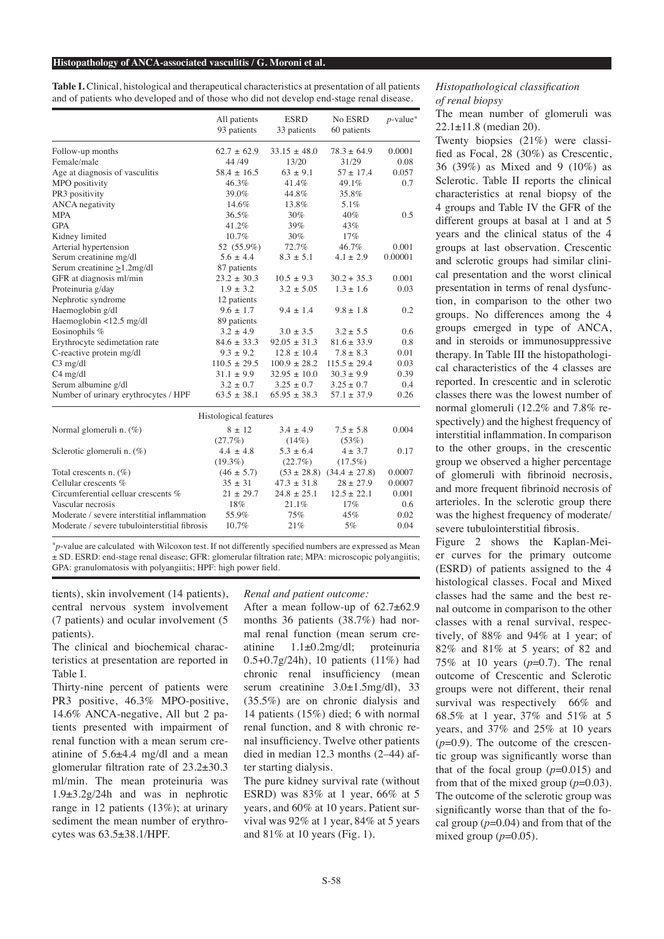#### **Histopathology of ANCA-associated vasculitis / G. Moroni et al.**

**Table I.** Clinical, histological and therapeutical characteristics at presentation of all patients and of patients who developed and of those who did not develop end-stage renal disease.

|                                               | All patients<br>93 patients | <b>ESRD</b><br>33 patients | No ESRD<br>60 patients | $p$ -value <sup>*</sup> |
|-----------------------------------------------|-----------------------------|----------------------------|------------------------|-------------------------|
| Follow-up months                              | $62.7 \pm 62.9$             | $33.15 \pm 48.0$           | $78.3 \pm 64.9$        | 0.0001                  |
| Female/male                                   | 44 / 49                     | 13/20                      | 31/29                  | 0.08                    |
| Age at diagnosis of vasculitis                | $58.4 \pm 16.5$             | $63 \pm 9.1$               | $57 \pm 17.4$          | 0.057                   |
| MPO positivity                                | 46.3%                       | 41.4%                      | 49.1%                  | 0.7                     |
| PR3 positivity                                | 39.0%                       | 44.8%                      | 35.8%                  |                         |
| <b>ANCA</b> negativity                        | 14.6%                       | 13.8%                      | 5.1%                   |                         |
| <b>MPA</b>                                    | 36.5%                       | 30%                        | 40%                    | 0.5                     |
| <b>GPA</b>                                    | 41.2%                       | 39%                        | 43%                    |                         |
| Kidney limited                                | 10.7%                       | 30%                        | 17%                    |                         |
| Arterial hypertension                         | 52 (55.9%)                  | 72.7%                      | 46.7%                  | 0.001                   |
| Serum creatinine mg/dl                        | $5.6 \pm 4.4$               | $8.3 \pm 5.1$              | $4.1 \pm 2.9$          | 0.00001                 |
| Serum creatinine $\geq$ 1.2mg/dl              | 87 patients                 |                            |                        |                         |
| GFR at diagnosis ml/min                       | $23.2 \pm 30.3$             | $10.5 \pm 9.3$             | $30.2 + 35.3$          | 0.001                   |
| Proteinuria g/day                             | $1.9 + 3.2$                 | $3.2 \pm 5.05$             | $1.3 + 1.6$            | 0.03                    |
| Nephrotic syndrome                            | 12 patients                 |                            |                        |                         |
| Haemoglobin g/dl                              | $9.6 \pm 1.7$               | $9.4 \pm 1.4$              | $9.8 \pm 1.8$          | 0.2                     |
| Haemoglobin <12.5 mg/dl                       | 89 patients                 |                            |                        |                         |
| Eosinophils %                                 | $3.2 \pm 4.9$               | $3.0 \pm 3.5$              | $3.2 \pm 5.5$          | 0.6                     |
| Erythrocyte sedimetation rate                 | $84.6 \pm 33.3$             | $92.05 \pm 31.3$           | $81.6 \pm 33.9$        | 0.8                     |
| C-reactive protein mg/dl                      | $9.3 \pm 9.2$               | $12.8 \pm 10.4$            | $7.8 \pm 8.3$          | 0.01                    |
| $C3$ mg/dl                                    | $110.5 \pm 29.5$            | $100.9 \pm 28.2$           | $115.5 \pm 29.4$       | 0.03                    |
| $C4$ mg/dl                                    | $31.1 \pm 9.9$              | $32.95 \pm 10.0$           | $30.3 \pm 9.9$         | 0.39                    |
| Serum albumine g/dl                           | $3.2 \pm 0.7$               | $3.25 \pm 0.7$             | $3.25 \pm 0.7$         | 0.4                     |
| Number of urinary erythrocytes / HPF          | $63.5 \pm 38.1$             | $65.95 \pm 38.3$           | $57.1 \pm 37.9$        | 0.26                    |
|                                               | Histological features       |                            |                        |                         |
| Normal glomeruli n. (%)                       | $8 \pm 12$                  | $3.4 \pm 4.9$              | $7.5 \pm 5.8$          | 0.004                   |
|                                               | (27.7%)                     | $(14\%)$                   | (53%)                  |                         |
| Sclerotic glomeruli n. (%)                    | $4.4 \pm 4.8$               | $5.3 \pm 6.4$              | $4 \pm 3.7$            | 0.17                    |
|                                               | $(19.3\%)$                  | (22.7%)                    | $(17.5\%)$             |                         |
| Total crescents n. $(\%)$                     | $(46 \pm 5.7)$              | $(53 \pm 28.8)$            | $(34.4 \pm 27.8)$      | 0.0007                  |
| Cellular crescents %                          | $35 \pm 31$                 | $47.3 \pm 31.8$            | $28 \pm 27.9$          | 0.0007                  |
| Circumferential celluar crescents %           | $21 \pm 29.7$               | $24.8 \pm 25.1$            | $12.5 \pm 22.1$        | 0.001                   |
| Vascular necrosis                             | 18%                         | 21.1%                      | 17%                    | 0.6                     |
| Moderate / severe interstitial inflammation   | 55.9%                       | 75%                        | 45%                    | 0.02                    |
| Moderate / severe tubulointerstitial fibrosis | 10.7%                       | 21%                        | 5%                     | 0.04                    |

\**p*-value are calculated with Wilcoxon test. If not differently specified numbers are expressed as Mean ± SD. ESRD: end-stage renal disease; GFR: glomerular filtration rate; MPA: microscopic polyangiitis; GPA: granulomatosis with polyangiitis; HPF: high power field.

tients), skin involvement (14 patients), central nervous system involvement (7 patients) and ocular involvement (5 patients).

The clinical and biochemical characteristics at presentation are reported in Table I.

Thirty-nine percent of patients were PR3 positive, 46.3% MPO-positive, 14.6% ANCA-negative, All but 2 patients presented with impairment of renal function with a mean serum creatinine of 5.6±4.4 mg/dl and a mean glomerular filtration rate of 23.2±30.3 ml/min. The mean proteinuria was 1.9±3.2g/24h and was in nephrotic range in 12 patients (13%); at urinary sediment the mean number of erythrocytes was 63.5±38.1/HPF.

*Renal and patient outcome:*

After a mean follow-up of 62.7±62.9 months 36 patients (38.7%) had normal renal function (mean serum creatinine 1.1±0.2mg/dl; proteinuria 0.5+0.7g/24h), 10 patients (11%) had chronic renal insufficiency (mean serum creatinine  $3.0 \pm 1.5$ mg/dl), 33 (35.5%) are on chronic dialysis and 14 patients (15%) died; 6 with normal renal function, and 8 with chronic renal insufficiency. Twelve other patients died in median 12.3 months (2–44) after starting dialysis.

The pure kidney survival rate (without ESRD) was 83% at 1 year, 66% at 5 years, and 60% at 10 years. Patient survival was 92% at 1 year, 84% at 5 years and 81% at 10 years (Fig. 1).

# *Histopathological classification of renal biopsy*

The mean number of glomeruli was 22.1±11.8 (median 20).

Twenty biopsies (21%) were classified as Focal, 28 (30%) as Crescentic, 36 (39%) as Mixed and 9 (10%) as Sclerotic. Table II reports the clinical characteristics at renal biopsy of the 4 groups and Table IV the GFR of the different groups at basal at 1 and at 5 years and the clinical status of the 4 groups at last observation. Crescentic and sclerotic groups had similar clinical presentation and the worst clinical presentation in terms of renal dysfunction, in comparison to the other two groups. No differences among the 4 groups emerged in type of ANCA, and in steroids or immunosuppressive therapy. In Table III the histopathological characteristics of the 4 classes are reported. In crescentic and in sclerotic classes there was the lowest number of normal glomeruli (12.2% and 7.8% respectively) and the highest frequency of interstitial inflammation. In comparison to the other groups, in the crescentic group we observed a higher percentage of glomeruli with fibrinoid necrosis, and more frequent fibrinoid necrosis of arterioles. In the sclerotic group there was the highest frequency of moderate/ severe tubulointerstitial fibrosis.

Figure 2 shows the Kaplan-Meier curves for the primary outcome (ESRD) of patients assigned to the 4 histological classes. Focal and Mixed classes had the same and the best renal outcome in comparison to the other classes with a renal survival, respectively, of 88% and 94% at 1 year; of 82% and 81% at 5 years; of 82 and 75% at 10 years (*p*=0.7). The renal outcome of Crescentic and Sclerotic groups were not different, their renal survival was respectively 66% and 68.5% at 1 year, 37% and 51% at 5 years, and 37% and 25% at 10 years (*p*=0.9). The outcome of the crescentic group was significantly worse than that of the focal group  $(p=0.015)$  and from that of the mixed group  $(p=0.03)$ . The outcome of the sclerotic group was significantly worse than that of the focal group (*p*=0.04) and from that of the mixed group  $(p=0.05)$ .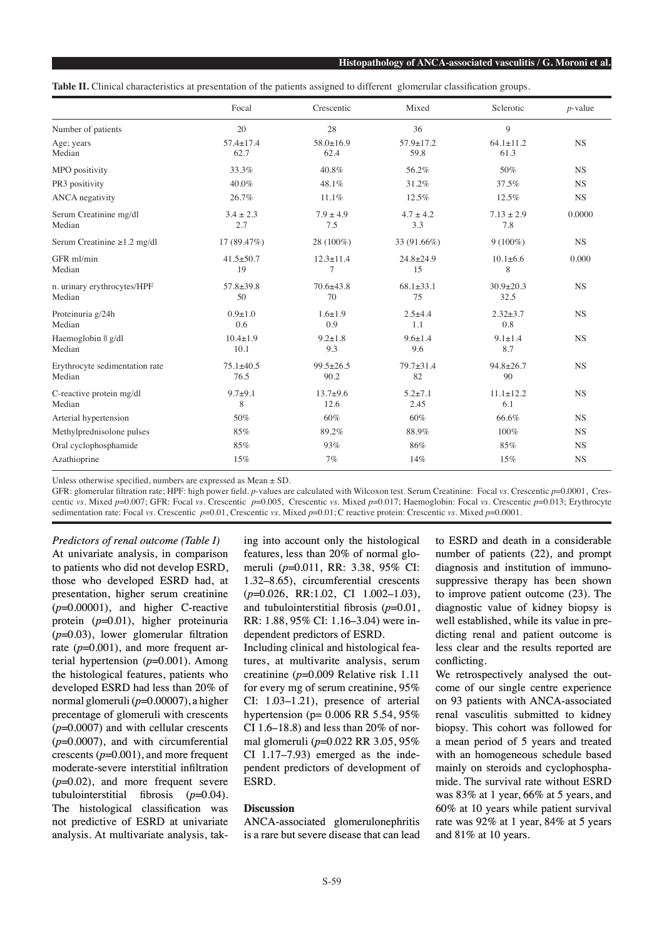**Table II.** Clinical characteristics at presentation of the patients assigned to different glomerular classification groups.

|                                          | Focal                   | Crescentic              | Mixed                   | Sclerotic               | $p$ -value |
|------------------------------------------|-------------------------|-------------------------|-------------------------|-------------------------|------------|
| Number of patients                       | 20                      | 28                      | 36                      | 9                       |            |
| Age; years<br>Median                     | $57.4 \pm 17.4$<br>62.7 | $58.0 \pm 16.9$<br>62.4 | $57.9 \pm 17.2$<br>59.8 | $64.1 \pm 11.2$<br>61.3 | <b>NS</b>  |
| MPO positivity                           | 33.3%                   | 40.8%                   | 56.2%                   | 50%                     | <b>NS</b>  |
| PR3 positivity                           | 40.0%                   | 48.1%                   | 31.2%                   | 37.5%                   | <b>NS</b>  |
| <b>ANCA</b> negativity                   | 26.7%                   | 11.1%                   | 12.5%                   | 12.5%                   | <b>NS</b>  |
| Serum Creatinine mg/dl<br>Median         | $3.4 \pm 2.3$<br>2.7    | $7.9 \pm 4.9$<br>7.5    | $4.7 \pm 4.2$<br>3.3    | $7.13 \pm 2.9$<br>7.8   | 0.0000     |
| Serum Creatinine $\geq$ 1.2 mg/dl        | 17 (89.47%)             | 28 (100%)               | 33 (91.66%)             | $9(100\%)$              | <b>NS</b>  |
| GFR ml/min<br>Median                     | $41.5 \pm 50.7$<br>19   | $12.3 \pm 11.4$<br>7    | $24.8 \pm 24.9$<br>15   | $10.1 \pm 6.6$<br>8     | 0.000      |
| n. urinary erythrocytes/HPF<br>Median    | $57.8 \pm 39.8$<br>50   | $70.6 \pm 43.8$<br>70   | $68.1 \pm 33.1$<br>75   | $30.9 + 20.3$<br>32.5   | <b>NS</b>  |
| Proteinuria g/24h<br>Median              | $0.9 + 1.0$<br>0.6      | $1.6 \pm 1.9$<br>0.9    | $2.5 + 4.4$<br>1.1      | $2.32 \pm 3.7$<br>0.8   | <b>NS</b>  |
| Haemoglobin    g/dl<br>Median            | $10.4 \pm 1.9$<br>10.1  | $9.2 \pm 1.8$<br>9.3    | $9.6 \pm 1.4$<br>9.6    | $9.1 \pm 1.4$<br>8.7    | <b>NS</b>  |
| Erythrocyte sedimentation rate<br>Median | $75.1 \pm 40.5$<br>76.5 | $99.5 \pm 26.5$<br>90.2 | 79.7±31.4<br>82         | $94.8 \pm 26.7$<br>90   | <b>NS</b>  |
| C-reactive protein mg/dl<br>Median       | $9.7 + 9.1$<br>8        | $13.7+9.6$<br>12.6      | $5.2 + 7.1$<br>2.45     | $11.1 \pm 12.2$<br>6.1  | <b>NS</b>  |
| Arterial hypertension                    | 50%                     | 60%                     | 60%                     | 66.6%                   | <b>NS</b>  |
| Methylprednisolone pulses                | 85%                     | 89.2%                   | 88.9%                   | 100%                    | <b>NS</b>  |
| Oral cyclophosphamide                    | 85%                     | 93%                     | 86%                     | 85%                     | <b>NS</b>  |
| Azathioprine                             | 15%                     | 7%                      | 14%                     | 15%                     | <b>NS</b>  |

Unless otherwise specified, numbers are expressed as Mean  $\pm$  SD.

GFR: glomerular filtration rate; HPF: high power field. *p*-values are calculated with Wilcoxon test. Serum Creatinine: Focal *vs.* Crescentic *p*=0.0001, Crescentic *vs.* Mixed *p*=0.007; GFR: Focal *vs.* Crescentic *p*=0.005, Crescentic *vs.* Mixed *p*=0.017; Haemoglobin: Focal *vs.* Crescentic *p*=0.013; Erythrocyte sedimentation rate: Focal *vs.* Crescentic *p*=0.01, Crescentic *vs.* Mixed *p*=0.01;C reactive protein: Crescentic *vs.* Mixed *p*=0.0001.

*Predictors of renal outcome (Table I)* At univariate analysis, in comparison to patients who did not develop ESRD, those who developed ESRD had, at presentation, higher serum creatinine (*p*=0.00001), and higher C-reactive protein (*p*=0.01), higher proteinuria (*p*=0.03), lower glomerular filtration rate  $(p=0.001)$ , and more frequent arterial hypertension (*p*=0.001). Among the histological features, patients who developed ESRD had less than 20% of normal glomeruli (*p*=0.00007), a higher precentage of glomeruli with crescents (*p*=0.0007) and with cellular crescents (*p*=0.0007), and with circumferential crescents (*p*=0.001), and more frequent moderate-severe interstitial infiltration (*p*=0.02), and more frequent severe tubulointerstitial fibrosis (*p*=0.04). The histological classification was not predictive of ESRD at univariate analysis. At multivariate analysis, taking into account only the histological features, less than 20% of normal glomeruli (*p*=0.011, RR: 3.38, 95% CI: 1.32–8.65), circumferential crescents (*p*=0.026, RR:1.02, CI 1.002–1.03), and tubulointerstitial fibrosis (*p*=0.01, RR: 1.88, 95% CI: 1.16–3.04) were independent predictors of ESRD.

Including clinical and histological features, at multivarite analysis, serum creatinine (*p*=0.009 Relative risk 1.11 for every mg of serum creatinine, 95% CI: 1.03–1.21), presence of arterial hypertension (p= 0.006 RR 5.54, 95% CI 1.6–18.8) and less than  $20\%$  of normal glomeruli (*p*=0.022 RR 3.05, 95% CI 1.17–7.93) emerged as the independent predictors of development of ESRD.

## **Discussion**

ANCA-associated glomerulonephritis is a rare but severe disease that can lead

to ESRD and death in a considerable number of patients (22), and prompt diagnosis and institution of immunosuppressive therapy has been shown to improve patient outcome (23). The diagnostic value of kidney biopsy is well established, while its value in predicting renal and patient outcome is less clear and the results reported are conflicting.

We retrospectively analysed the outcome of our single centre experience on 93 patients with ANCA-associated renal vasculitis submitted to kidney biopsy. This cohort was followed for a mean period of 5 years and treated with an homogeneous schedule based mainly on steroids and cyclophosphamide. The survival rate without ESRD was 83% at 1 year, 66% at 5 years, and 60% at 10 years while patient survival rate was 92% at 1 year, 84% at 5 years and 81% at 10 years.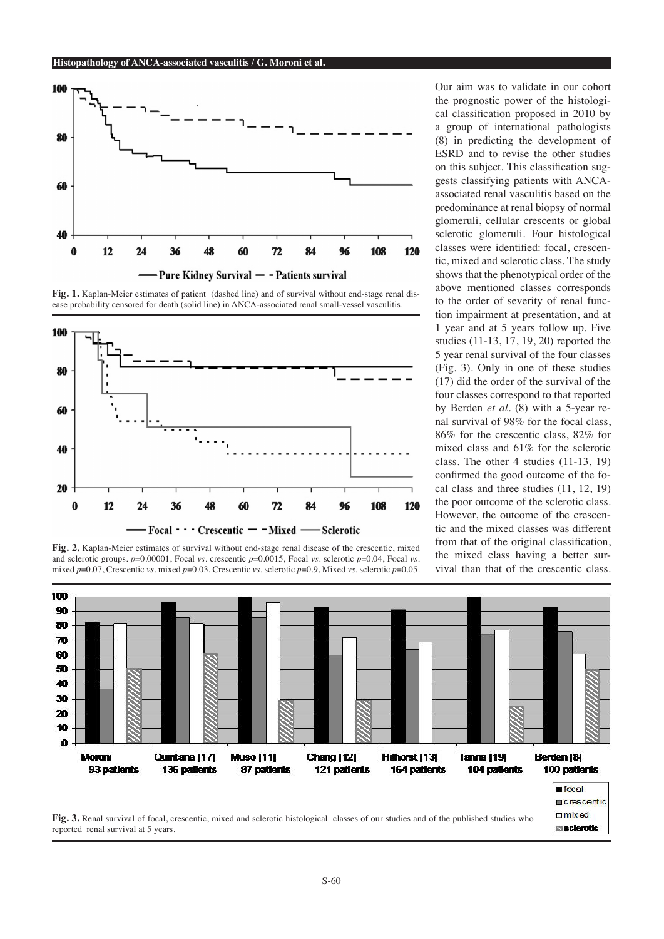

Fig. 1. Kaplan-Meier estimates of patient (dashed line) and of survival without end-stage renal disease probability censored for death (solid line) in ANCA-associated renal small-vessel vasculitis.



**Fig. 2.** Kaplan-Meier estimates of survival without end-stage renal disease of the crescentic, mixed and sclerotic groups. *p*=0.00001, Focal *vs.* crescentic *p*=0.0015, Focal *vs.* sclerotic *p*=0.04, Focal *vs.*  mixed *p*=0.07, Crescentic *vs.* mixed *p*=0.03, Crescentic *vs.* sclerotic *p*=0.9, Mixed *vs.* sclerotic *p*=0.05.

Our aim was to validate in our cohort the prognostic power of the histological classification proposed in 2010 by a group of international pathologists (8) in predicting the development of ESRD and to revise the other studies on this subject. This classification suggests classifying patients with ANCAassociated renal vasculitis based on the predominance at renal biopsy of normal glomeruli, cellular crescents or global sclerotic glomeruli. Four histological classes were identified: focal, crescentic, mixed and sclerotic class. The study shows that the phenotypical order of the above mentioned classes corresponds to the order of severity of renal function impairment at presentation, and at 1 year and at 5 years follow up. Five studies (11-13, 17, 19, 20) reported the 5 year renal survival of the four classes (Fig. 3). Only in one of these studies (17) did the order of the survival of the four classes correspond to that reported by Berden *et al.* (8) with a 5-year renal survival of 98% for the focal class, 86% for the crescentic class, 82% for mixed class and 61% for the sclerotic class. The other 4 studies (11-13, 19) confirmed the good outcome of the focal class and three studies (11, 12, 19) the poor outcome of the sclerotic class. However, the outcome of the crescentic and the mixed classes was different from that of the original classification, the mixed class having a better survival than that of the crescentic class.

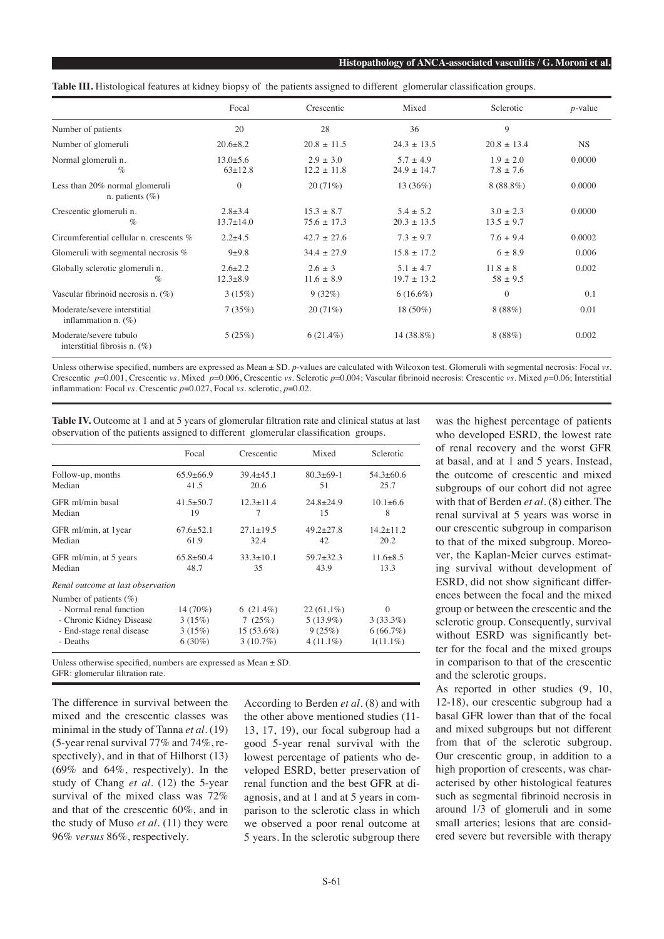|                                                           | Focal                            | Crescentic                       | Mixed                            | Sclerotic                     | $p$ -value |
|-----------------------------------------------------------|----------------------------------|----------------------------------|----------------------------------|-------------------------------|------------|
| Number of patients                                        | 20                               | 28                               | 36                               | 9                             |            |
| Number of glomeruli                                       | $20.6 \pm 8.2$                   | $20.8 \pm 11.5$                  | $24.3 \pm 13.5$                  | $20.8 \pm 13.4$               | <b>NS</b>  |
| Normal glomeruli n.<br>$\%$                               | $13.0 \pm 5.6$<br>$63 \pm 12.8$  | $2.9 \pm 3.0$<br>$12.2 \pm 11.8$ | $5.7 \pm 4.9$<br>$24.9 \pm 14.7$ | $1.9 + 2.0$<br>$7.8 \pm 7.6$  | 0.0000     |
| Less than 20% normal glomeruli<br>n. patients $(\%)$      | $\mathbf{0}$                     | 20(71%)                          | 13(36%)                          | $8(88.8\%)$                   | 0.0000     |
| Crescentic glomeruli n.<br>$\%$                           | $2.8 \pm 3.4$<br>$13.7 \pm 14.0$ | $15.3 + 8.7$<br>$75.6 \pm 17.3$  | $5.4 + 5.2$<br>$20.3 \pm 13.5$   | $3.0 + 2.3$<br>$13.5 \pm 9.7$ | 0.0000     |
| Circumferential cellular n. crescents $%$                 | $2.2 \pm 4.5$                    | $42.7 \pm 27.6$                  | $7.3 \pm 9.7$                    | $7.6 + 9.4$                   | 0.0002     |
| Glomeruli with segmental necrosis $%$                     | $9 + 9.8$                        | $34.4 \pm 27.9$                  | $15.8 \pm 17.2$                  | $6 \pm 8.9$                   | 0.006      |
| Globally sclerotic glomeruli n.<br>$\%$                   | $2.6 \pm 2.2$<br>$12.3 \pm 8.9$  | $2.6 \pm 3$<br>$11.6 \pm 8.9$    | $5.1 \pm 4.7$<br>$19.7 \pm 13.2$ | $11.8 \pm 8$<br>$58 \pm 9.5$  | 0.002      |
| Vascular fibrinoid necrosis n. $(\%)$                     | 3(15%)                           | 9(32%)                           | $6(16.6\%)$                      | $\overline{0}$                | 0.1        |
| Moderate/severe interstitial<br>inflammation n. $(\%)$    | 7(35%)                           | 20(71%)                          | 18 (50%)                         | 8(88%)                        | 0.01       |
| Moderate/severe tubulo<br>interstitial fibrosis n. $(\%)$ | 5(25%)                           | $6(21.4\%)$                      | 14 (38.8%)                       | 8(88%)                        | 0.002      |

**Table III.** Histological features at kidney biopsy of the patients assigned to different glomerular classification groups.

Unless otherwise specified, numbers are expressed as Mean ± SD. *p*-values are calculated with Wilcoxon test. Glomeruli with segmental necrosis: Focal *vs.* Crescentic *p*=0.001, Crescentic *vs.* Mixed *p*=0.006, Crescentic *vs.* Sclerotic *p*=0.004; Vascular fibrinoid necrosis: Crescentic *vs.* Mixed *p*=0.06; Interstitial inflammation: Focal *vs.* Crescentic *p*=0.027, Focal *vs.* sclerotic, *p*=0.02.

Table IV. Outcome at 1 and at 5 years of glomerular filtration rate and clinical status at last observation of the patients assigned to different glomerular classification groups.

|                                                                                                                           | Focal                                     | Crescentic                                            | Mixed                                                | Sclerotic                                          |
|---------------------------------------------------------------------------------------------------------------------------|-------------------------------------------|-------------------------------------------------------|------------------------------------------------------|----------------------------------------------------|
| Follow-up, months                                                                                                         | $65.9 \pm 66.9$                           | $39.4 + 45.1$                                         | $80.3 + 69 - 1$                                      | $54.3 \pm 60.6$                                    |
| Median                                                                                                                    | 41.5                                      | 20.6                                                  | 51                                                   | 25.7                                               |
| GFR ml/min basal                                                                                                          | $41.5 \pm 50.7$                           | $12.3 + 11.4$                                         | $24.8 \pm 24.9$                                      | $10.1 + 6.6$                                       |
| Median                                                                                                                    | 19                                        | 7                                                     | 15                                                   | 8                                                  |
| GFR ml/min, at 1year                                                                                                      | $67.6 \pm 52.1$                           | $27.1 + 19.5$                                         | $49.2 + 27.8$                                        | $14.2 \pm 11.2$                                    |
| Median                                                                                                                    | 61.9                                      | 32.4                                                  | 42                                                   | 20.2                                               |
| GFR ml/min, at 5 years                                                                                                    | $65.8 \pm 60.4$                           | $33.3 \pm 10.1$                                       | $59.7 \pm 32.3$                                      | $11.6 \pm 8.5$                                     |
| Median                                                                                                                    | 48.7                                      | 35                                                    | 43.9                                                 | 13.3                                               |
| Renal outcome at last observation                                                                                         |                                           |                                                       |                                                      |                                                    |
| Number of patients $(\%)$<br>- Normal renal function<br>- Chronic Kidney Disease<br>- End-stage renal disease<br>- Deaths | 14 (70%)<br>3(15%)<br>3(15%)<br>$6(30\%)$ | 6 $(21.4\%)$<br>7(25%)<br>$15(53.6\%)$<br>$3(10.7\%)$ | $22(61,1\%)$<br>$5(13.9\%)$<br>9(25%)<br>$4(11.1\%)$ | $\theta$<br>$3(33.3\%)$<br>6(66.7%)<br>$1(11.1\%)$ |

Unless otherwise specified, numbers are expressed as Mean  $\pm$  SD.

The difference in survival between the mixed and the crescentic classes was minimal in the study of Tanna *et al.* (19) (5-year renal survival 77% and 74%, respectively), and in that of Hilhorst (13) (69% and 64%, respectively). In the study of Chang *et al.* (12) the 5-year survival of the mixed class was 72% and that of the crescentic 60%, and in the study of Muso *et al.* (11) they were 96% *versus* 86%, respectively.

According to Berden *et al.* (8) and with the other above mentioned studies (11- 13, 17, 19), our focal subgroup had a good 5-year renal survival with the lowest percentage of patients who developed ESRD, better preservation of renal function and the best GFR at diagnosis, and at 1 and at 5 years in comparison to the sclerotic class in which we observed a poor renal outcome at 5 years. In the sclerotic subgroup there was the highest percentage of patients who developed ESRD, the lowest rate of renal recovery and the worst GFR at basal, and at 1 and 5 years. Instead, the outcome of crescentic and mixed subgroups of our cohort did not agree with that of Berden *et al.* (8) either. The renal survival at 5 years was worse in our crescentic subgroup in comparison to that of the mixed subgroup. Moreover, the Kaplan-Meier curves estimating survival without development of ESRD, did not show significant differences between the focal and the mixed group or between the crescentic and the sclerotic group. Consequently, survival without ESRD was significantly better for the focal and the mixed groups in comparison to that of the crescentic and the sclerotic groups.

As reported in other studies (9, 10, 12-18), our crescentic subgroup had a basal GFR lower than that of the focal and mixed subgroups but not different from that of the sclerotic subgroup. Our crescentic group, in addition to a high proportion of crescents, was characterised by other histological features such as segmental fibrinoid necrosis in around 1/3 of glomeruli and in some small arteries; lesions that are considered severe but reversible with therapy

GFR: glomerular filtration rate.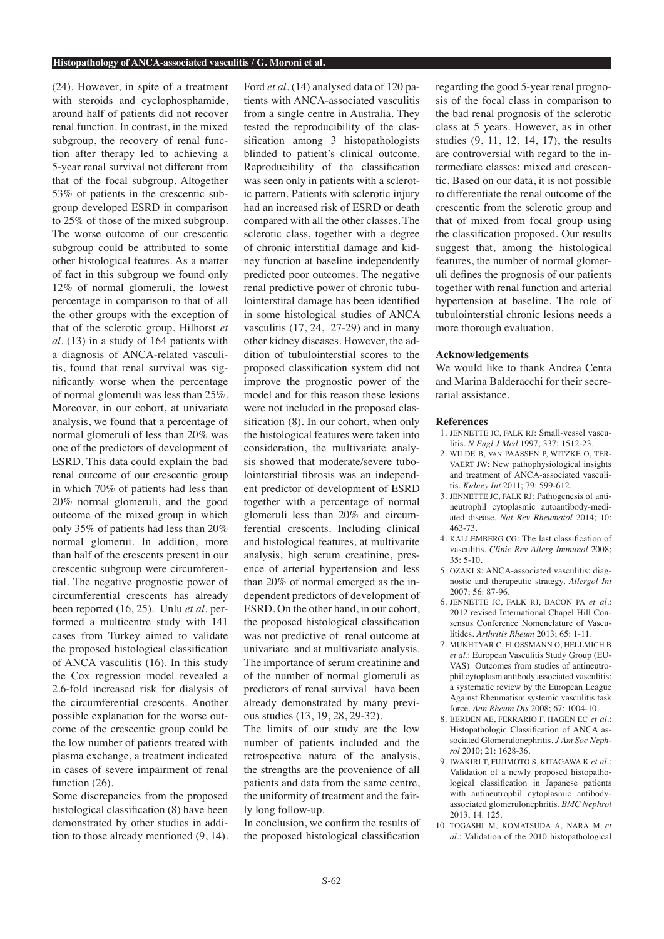#### **Histopathology of ANCA-associated vasculitis / G. Moroni et al.**

(24). However, in spite of a treatment with steroids and cyclophosphamide, around half of patients did not recover renal function. In contrast, in the mixed subgroup, the recovery of renal function after therapy led to achieving a 5-year renal survival not different from that of the focal subgroup. Altogether 53% of patients in the crescentic subgroup developed ESRD in comparison to 25% of those of the mixed subgroup. The worse outcome of our crescentic subgroup could be attributed to some other histological features. As a matter of fact in this subgroup we found only 12% of normal glomeruli, the lowest percentage in comparison to that of all the other groups with the exception of that of the sclerotic group. Hilhorst *et al.* (13) in a study of 164 patients with a diagnosis of ANCA-related vasculitis, found that renal survival was significantly worse when the percentage of normal glomeruli was less than 25%. Moreover, in our cohort, at univariate analysis, we found that a percentage of normal glomeruli of less than 20% was one of the predictors of development of ESRD. This data could explain the bad renal outcome of our crescentic group in which 70% of patients had less than 20% normal glomeruli, and the good outcome of the mixed group in which only 35% of patients had less than 20% normal glomerui. In addition, more than half of the crescents present in our crescentic subgroup were circumferential. The negative prognostic power of circumferential crescents has already been reported (16, 25). Unlu *et al.* performed a multicentre study with 141 cases from Turkey aimed to validate the proposed histological classification of ANCA vasculitis (16). In this study the Cox regression model revealed a 2.6-fold increased risk for dialysis of the circumferential crescents. Another possible explanation for the worse outcome of the crescentic group could be the low number of patients treated with plasma exchange, a treatment indicated in cases of severe impairment of renal function  $(26)$ .

Some discrepancies from the proposed histological classification (8) have been demonstrated by other studies in addition to those already mentioned (9, 14). Ford *et al.* (14) analysed data of 120 patients with ANCA-associated vasculitis from a single centre in Australia. They tested the reproducibility of the classification among 3 histopathologists blinded to patient's clinical outcome. Reproducibility of the classification was seen only in patients with a sclerotic pattern. Patients with sclerotic injury had an increased risk of ESRD or death compared with all the other classes. The sclerotic class, together with a degree of chronic interstitial damage and kidney function at baseline independently predicted poor outcomes. The negative renal predictive power of chronic tubulointerstital damage has been identified in some histological studies of ANCA vasculitis (17, 24, 27-29) and in many other kidney diseases. However, the addition of tubulointerstial scores to the proposed classification system did not improve the prognostic power of the model and for this reason these lesions were not included in the proposed classification (8). In our cohort, when only the histological features were taken into consideration, the multivariate analysis showed that moderate/severe tubolointerstitial fibrosis was an independent predictor of development of ESRD together with a percentage of normal glomeruli less than 20% and circumferential crescents. Including clinical and histological features, at multivarite analysis, high serum creatinine, presence of arterial hypertension and less than 20% of normal emerged as the independent predictors of development of ESRD. On the other hand, in our cohort, the proposed histological classification was not predictive of renal outcome at univariate and at multivariate analysis. The importance of serum creatinine and of the number of normal glomeruli as predictors of renal survival have been already demonstrated by many previous studies (13, 19, 28, 29-32).

The limits of our study are the low number of patients included and the retrospective nature of the analysis, the strengths are the provenience of all patients and data from the same centre, the uniformity of treatment and the fairly long follow-up.

In conclusion, we confirm the results of the proposed histological classification

regarding the good 5-year renal prognosis of the focal class in comparison to the bad renal prognosis of the sclerotic class at 5 years. However, as in other studies (9, 11, 12, 14, 17), the results are controversial with regard to the intermediate classes: mixed and crescentic. Based on our data, it is not possible to differentiate the renal outcome of the crescentic from the sclerotic group and that of mixed from focal group using the classification proposed. Our results suggest that, among the histological features, the number of normal glomeruli defines the prognosis of our patients together with renal function and arterial hypertension at baseline. The role of tubulointerstial chronic lesions needs a more thorough evaluation.

# **Acknowledgements**

We would like to thank Andrea Centa and Marina Balderacchi for their secretarial assistance.

### **References**

- 1. JENNETTE JC, FALK RJ: Small-vessel vasculitis. *N Engl J Med* 1997; 337: 1512-23.
- 2. WILDE B, van PAASSEN P, WITZKE O, TER-VAERT JW: New pathophysiological insights and treatment of ANCA-associated vasculitis. *Kidney Int* 2011; 79: 599-612.
- 3. JENNETTE JC, FALK RJ: Pathogenesis of antineutrophil cytoplasmic autoantibody-mediated disease. *Nat Rev Rheumatol* 2014; 10: 463-73.
- 4. KALLEMBERG CG: The last classification of vasculitis. *Clinic Rev Allerg Immunol* 2008; 35: 5-10.
- 5. OZAKI S: ANCA-associated vasculitis: diagnostic and therapeutic strategy. *Allergol Int* 2007; 56: 87-96.
- 6. JENNETTE JC, FALK RJ, BACON PA *et al.*: 2012 revised International Chapel Hill Consensus Conference Nomenclature of Vasculitides. *Arthritis Rheum* 2013; 65: 1-11.
- 7. MUKHTYAR C, FLOSSMANN O, HELLMICH B *et al.*: European Vasculitis Study Group (EU-VAS) Outcomes from studies of antineutrophil cytoplasm antibody associated vasculitis: a systematic review by the European League Against Rheumatism systemic vasculitis task force. *Ann Rheum Dis* 2008; 67: 1004-10.
- 8. BERDEN AE, FERRARIO F, HAGEN EC *et al.*: Histopathologic Classification of ANCA associated Glomerulonephritis. *J Am Soc Nephrol* 2010; 21: 1628-36.
- 9. IWAKIRI T, FUJIMOTO S, KITAGAWA K *et al.*: Validation of a newly proposed histopathological classification in Japanese patients with antineutrophil cytoplasmic antibodyassociated glomerulonephritis. *BMC Nephrol*  $2013 \cdot 14 \cdot 125$
- 10. TOGASHI M, KOMATSUDA A, NARA M *et al.*: Validation of the 2010 histopathological